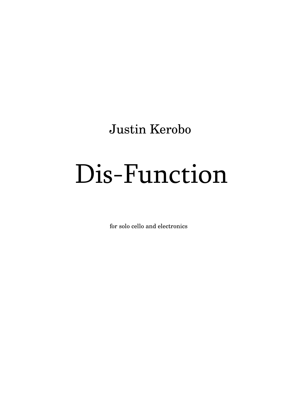Justin Kerobo

# Dis-Function

for solo cello and electronics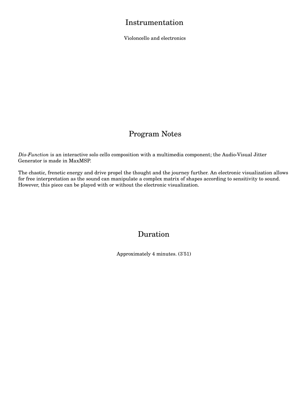#### Instrumentation

Violoncello and electronics

### Program Notes

*Dis-Function* is an interactive solo cello composition with a multimedia component; the Audio-Visual Jitter Generator is made in MaxMSP.

The chaotic, frenetic energy and drive propel the thought and the journey further. An electronic visualization allows for free interpretation as the sound can manipulate a complex matrix of shapes according to sensitivity to sound. However, this piece can be played with or without the electronic visualization.

#### Duration

Approximately 4 minutes. (3'51)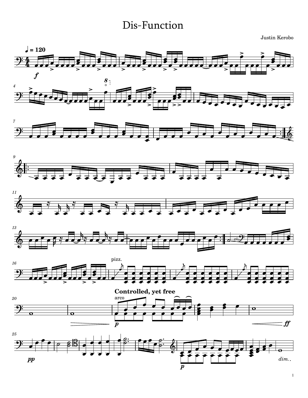## Dis-Function

Justin Kerobo



1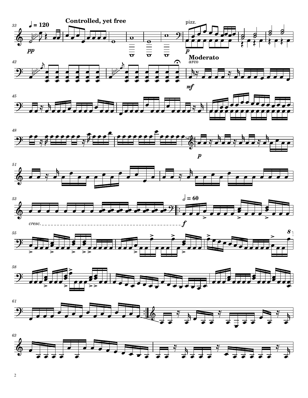